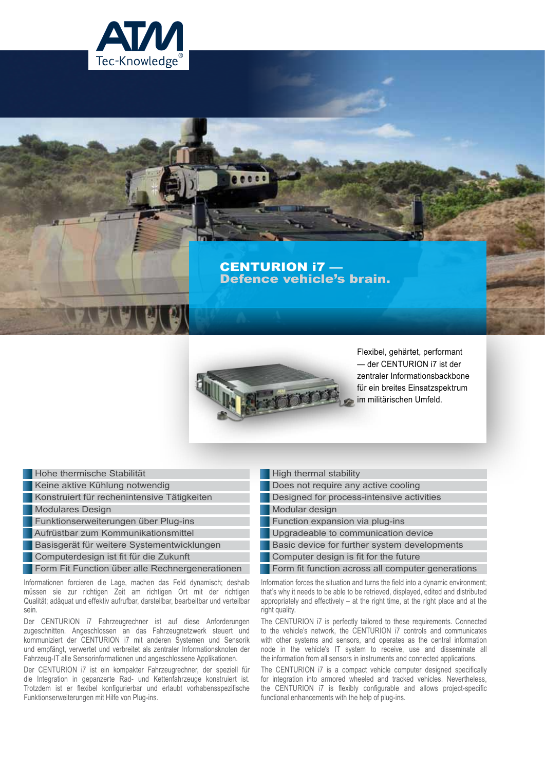

# CENTURION i7 — Defence vehicle's brain.



 $0000$ 

Flexibel, gehärtet, performant — der CENTURION i7 ist der zentraler Informationsbackbone für ein breites Einsatzspektrum im militärischen Umfeld.

Hohe thermische Stabilität

Keine aktive Kühlung notwendig

Konstruiert für rechenintensive Tätigkeiten

**Modulares Design** 

Funktionserweiterungen über Plug-ins

Aufrüstbar zum Kommunikationsmittel

Basisgerät für weitere Systementwicklungen

Computerdesign ist fit für die Zukunft

**Form Fit Function über alle Rechnergenerationen** 

Informationen forcieren die Lage, machen das Feld dynamisch; deshalb müssen sie zur richtigen Zeit am richtigen Ort mit der richtigen Qualität; adäquat und effektiv aufrufbar, darstellbar, bearbeitbar und verteilbar sein.

Der CENTURION i7 Fahrzeugrechner ist auf diese Anforderungen zugeschnitten. Angeschlossen an das Fahrzeugnetzwerk steuert und kommuniziert der CENTURION i7 mit anderen Systemen und Sensorik und empfängt, verwertet und verbreitet als zentraler Informationsknoten der Fahrzeug-IT alle Sensorinformationen und angeschlossene Applikationen.

Der CENTURION i7 ist ein kompakter Fahrzeugrechner, der speziell für die Integration in gepanzerte Rad- und Kettenfahrzeuge konstruiert ist. Trotzdem ist er flexibel konfigurierbar und erlaubt vorhabensspezifische Funktionserweiterungen mit Hilfe von Plug-ins.

- High thermal stability
- Does not require any active cooling
- Designed for process-intensive activities

Modular design

**Function expansion via plug-ins** 

Upgradeable to communication device

Basic device for further system developments

Computer design is fit for the future

Form fit function across all computer generations

Information forces the situation and turns the field into a dynamic environment; that's why it needs to be able to be retrieved, displayed, edited and distributed appropriately and effectively – at the right time, at the right place and at the right quality.

The CENTURION i7 is perfectly tailored to these requirements. Connected to the vehicle's network, the CENTURION i7 controls and communicates with other systems and sensors, and operates as the central information node in the vehicle's IT system to receive, use and disseminate all the information from all sensors in instruments and connected applications.

The CENTURION i7 is a compact vehicle computer designed specifically for integration into armored wheeled and tracked vehicles. Nevertheless, the CENTURION i7 is flexibly configurable and allows project-specific functional enhancements with the help of plug-ins.